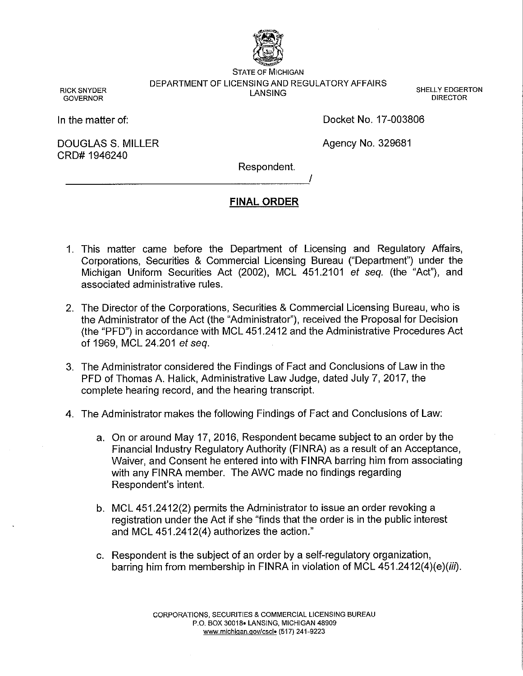

STATE OF MICHIGAN DEPARTMENT OF LICENSING AND REGULATORY AFFAIRS SHELLY EDGERTON<br>LANSING SHELLY EDGERTON

RICK SNYDER GOVERNOR

In the matter of:

DOUGLAS S. MILLER CRD# 1946240

Docket No. 17-003806

DIRECTOR

Agency No. 329681

Respondent. -------------------~

I

## **FINAL ORDER**

- 1. This matter came before the Department of Licensing and Regulatory Affairs, Corporations, Securities & Commercial Licensing Bureau ("Department") under the Michigan Uniform Securities Act (2002), MCL 451.2101 *et seq.* (the "Act"), and associated administrative rules.
- 2. The Director of the Corporations, Securities & Commercial Licensing Bureau, who is the Administrator of the Act (the "Administrator"), received the Proposal for Decision (the "PFD") in accordance with MCL 451.2412 and the Administrative Procedures Act of 1969, MCL 24.201 *et seq.*
- 3. The Administrator considered the Findings of Fact and Conclusions of Law in the PFD of Thomas A. Halick, Administrative Law Judge, dated July 7, 2017, the complete hearing record, and the hearing transcript.
- 4. The Administrator makes the following Findings of Fact and Conclusions of Law:
	- a. On or around May 17, 2016, Respondent became subject to an order by the Financial Industry Regulatory Authority (FINRA) as a result of an Acceptance, Waiver, and Consent he entered into with FINRA barring him from associating with any FINRA member. The AWC made no findings regarding Respondent's intent.
	- b. MCL 451.2412(2) permits the Administrator to issue an order revoking a registration under the Act if she "finds that the order is in the public interest and MCL 451.2412(4) authorizes the action."
	- c. Respondent is the subject of an order by a self-regulatory organization, barring him from membership in FINRA in violation of MCL 451.2412(4)(e)(*iii*).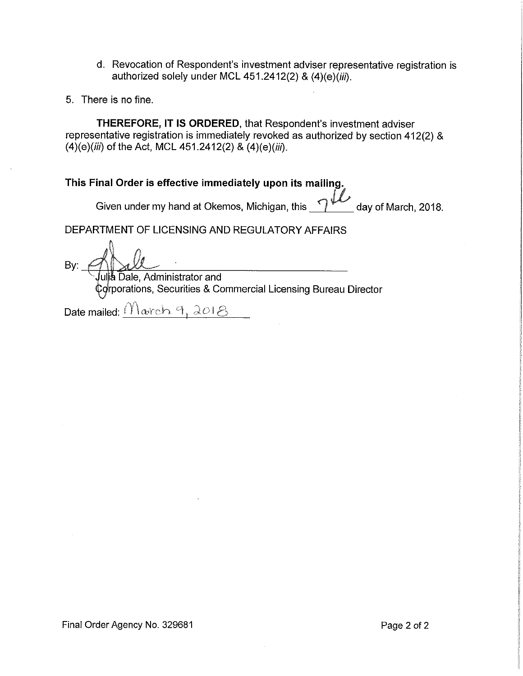- d. Revocation of Respondent's investment adviser representative registration is authorized solely under MCL 451.2412(2) & (4)(e)(iii).
- 5. There is no fine.

**THEREFORE, IT IS ORDERED,** that Respondent's investment adviser representative registration is immediately revoked as authorized by section 412(2) &  $(4)(e)(iii)$  of the Act, MCL 451.2412(2) &  $(4)(e)(iii)$ .

# **This Final Order is effective immediately upon its mailing.**

Given under my hand at Okemos, Michigan, this **1/2** day of March, 2018.

DEPARTMENT OF LICENSING AND REGULATORY AFFAIRS

Bv.

ulja Dale, Administrator and rporations, Securities & Commercial Licensing Bureau Director

Date mailed:  $\frac{(\gamma)_{\text{order}}}{\gamma, \lambda}$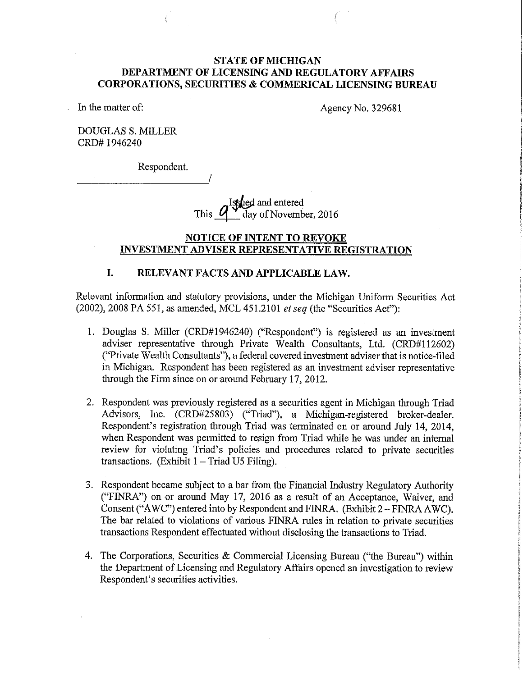## **STATE OF MICHIGAN DEPARTMENT OF LICENSING AND REGULATORY AFFAIRS CORPORATIONS, SECURITIES & COMMERICAL LICENSING BUREAU**

In the matter of:

Agency No. 329681

DOUGLAS S. MILLER CRD# 1946240

Respondent.

Issued and and entered This  $\frac{q}{q}$  day of November, 2016

#### **NOTICE OF INTENT TO REVOKE INVESTMENT ADVISER REPRESENTATIVE REGISTRATION**

## **I. RELEVANT FACTS AND APPLICABLE LAW.**

Relevant information and statutory provisions, under the Michigan Uniform Securities Act (2002), 2008 PA 551, as amended, MCL 451.2101 *et seq* (the "Securities Act"):

- 1. Douglas S. Miller (CRD#1946240) ("Respondent") is registered as an investment adviser representative through Private Wealth Consultants, Ltd. (CRD#l 12602) ("Private Wealth Consultants"), a federal covered investment adviser that is notice-filed in Michigan. Respondent has been registered as an investment adviser representative through the Firm since on or around February 17, 2012.
- 2. Respondent was previously registered as a securities agent in Michigan through Triad Advisors, Inc. (CRD#25803) ("Triad"), a Michigan-registered broker-dealer. Respondent's registration through Triad was terminated on or around July 14, 2014, when Respondent was permitted to resign from Triad while he was under an internal review for violating Triad's policies and procedures related to private securities transactions. (Exhibit  $1 - \text{Triad } \text{US } \text{Filing}$ ).
- 3. Respondent became subject to a bar from the Financial Industry Regulatory Authority ("FINRA") on or around May 17, 2016 as a result of an Acceptance, Waiver, and Consent ("A WC") entered into by Respondent and FINRA. (Exhibit 2-FINRA A WC). The bar related to violations of various FINRA rules in relation to private securities transactions Respondent effectuated without disclosing the transactions to Triad.
- 4. The Corporations, Securities & Commercial Licensing Bureau ("the Bureau") within the Department of Licensing and Regulatory Affairs opened an investigation to review Respondent's securities activities.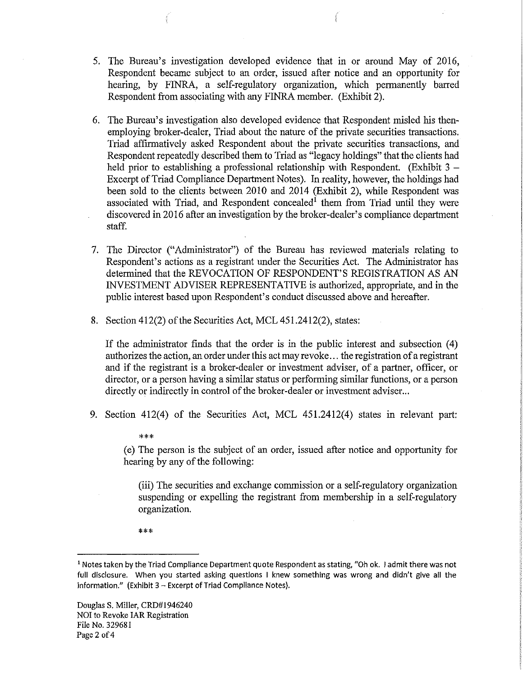- 5. The Bureau's investigation developed evidence that in or around May of 2016, Respondent became subject to an order, issued after notice and an opportunity for hearing, by FINRA, a self-regulatory organization, which permanently barred Respondent from associating with any FINRA member. (Exhibit 2).
- 6. The Bureau's investigation also developed evidence that Respondent misled his thenemploying broker-dealer, Triad about the nature of the private securities transactions. Triad affirmatively asked Respondent about the private securities transactions, and Respondent repeatedly described them to Triad as "legacy holdings" that the clients had held prior to establishing a professional relationship with Respondent. (Exhibit  $3 -$ Excerpt of Triad Compliance Department Notes). In reality, however, the holdings had been sold to the clients between 2010 and 2014 (Exhibit 2), while Respondent was associated with Triad, and Respondent concealed<sup>1</sup> them from Triad until they were discovered in 2016 after an investigation by the broker-dealer's compliance department staff.
- 7. The Director ("Administrator") of the Bureau has reviewed materials relating to Respondent's actions as a registrant under the Securities Act. The Administrator has determined that the REVOCATION OF RESPONDENT'S REGISTRATION AS AN INVESTMENT ADVISER REPRESENTATIVE is authorized, appropriate, and in the public interest based upon Respondent's conduct discussed above and hereafter.
- 8. Section 412(2) of the Securities Act, MCL 451.2412(2), states:

If the administrator finds that the order is in the public interest and subsection (4) authorizes the action, an order under this act may revoke ... the registration of a registrant and if the registrant is a broker-dealer or investment adviser, of a partner, officer, or director, or a person having a similar status or performing similar functions, or a person directly or indirectly in control of the broker-dealer or investment adviser...

9. Section 412(4) of the Securities Act, MCL 451.2412(4) states in relevant part:

(e) The person is the subject of an order, issued after notice and opportunity for hearing by any of the following:

(iii) The securities and exchange commission or a self-regulatory organization suspending or expelling the registrant from membership in a self-regulatory organization.

\*\*\*

\*\*\*

<sup>&</sup>lt;sup>1</sup> Notes taken by the Triad Compliance Department quote Respondent as stating, "Oh ok. I admit there was not full disclosure. When you started asking questions I knew something was wrong and didn't give all the  $information."$  (Exhibit  $3$  - Excerpt of Triad Compliance Notes).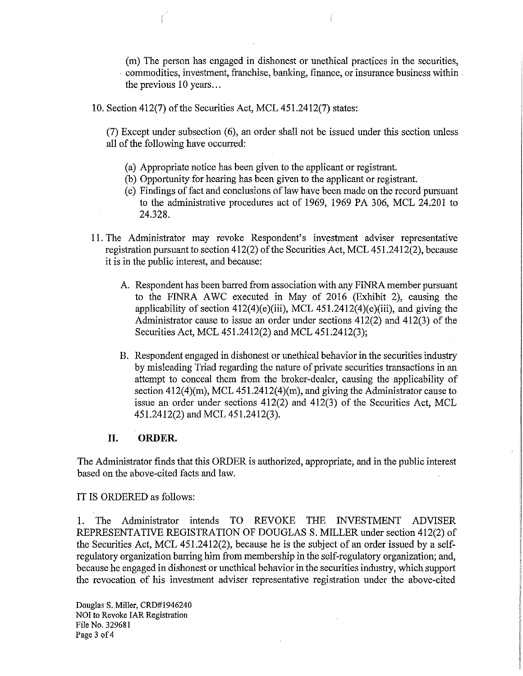(m) The person has engaged in dishonest or unethical practices in the securities, commodities, investment, franchise, banking, finance, or insurance business within the previous 10 years...

10. Section 412(7) of the Securities Act, MCL 451.2412(7) states:

(7) Except under subsection (6), an order shall not be issued under this section unless all of the following have occurred:

- (a) Appropriate notice has been given to the applicant or registrant.
- (b) Opportunity for hearing has been given to the applicant or registrant.
- ( c) Findings of fact and conclusions of law have been made on the record pursuant to the administrative procedures act of 1969, 1969 PA 306, MCL 24.201 to 24.328.
- 11. The Administrator may revoke Respondent's investment adviser representative registration pursuant to section 412(2) of the Securities Act, MCL 451.2412(2), because it is in the public interest, and because:
	- A. Respondent has been barred from association with any FINRA member pursuant to the FINRA AWC executed in May of 2016 (Exhibit 2), causing the applicability of section  $412(4)$ (e)(iii), MCL  $451.2412(4)$ (e)(iii), and giving the Administrator cause to issue an order under sections 412(2) and 412(3) of the Securities Act, MCL 451.2412(2) and MCL 451.2412(3);
	- B. Respondent engaged in dishonest or unethical behavior in the securities industry by misleading Triad regarding the nature of private securities transactions in an attempt to conceal them from the broker-dealer, causing the applicability of section  $412(4)(m)$ , MCL  $451.2412(4)(m)$ , and giving the Administrator cause to issue an order under sections 412(2) and 412(3) of the Securities Act, MCL 451.2412(2) and MCL 451.2412(3).

## **II. ORDER.**

The Administrator finds that this ORDER is authorized, appropriate; and in the public interest based on the above-cited facts and law.

IT IS ORDERED as follows:

1. The Administrator intends TO REVOKE THE INVESTMENT ADVISER REPRESENTATIVE REGISTRATION OF DOUGLASS. MILLER under section 412(2) of the Securities Act, MCL 451.2412(2), because he is the subject of an order issued by a selfregulatory organization barring him from membership in the self-regulatory organization; and, because he engaged in dishonest or unethical behavior in the securities industry, which support the revocation of his investment adviser representative registration under the above-cited

Douglas S. Miller, CRD#l946240 NOI to Revoke IAR Registration File No. 329681 Page 3 of 4